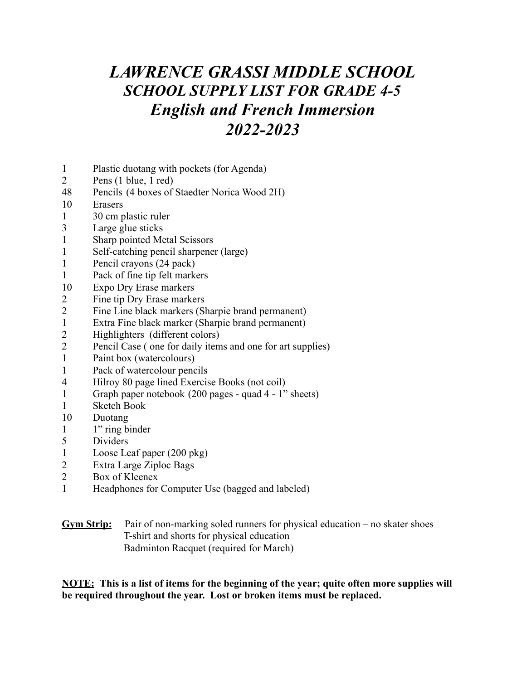## *LAWRENCE GRASSI MIDDLE SCHOOL SCHOOL SUPPLY LIST FOR GRADE 4-5 English and French Immersion 2022-2023*

- Plastic duotang with pockets (for Agenda)
- Pens (1 blue, 1 red)
- Pencils (4 boxes of Staedter Norica Wood 2H)
- Erasers
- 30 cm plastic ruler
- Large glue sticks
- Sharp pointed Metal Scissors
- Self-catching pencil sharpener (large)
- Pencil crayons (24 pack)
- Pack of fine tip felt markers
- Expo Dry Erase markers
- Fine tip Dry Erase markers
- Fine Line black markers (Sharpie brand permanent)
- Extra Fine black marker (Sharpie brand permanent)
- Highlighters (different colors)
- Pencil Case ( one for daily items and one for art supplies)
- Paint box (watercolours)
- Pack of watercolour pencils
- Hilroy 80 page lined Exercise Books (not coil)
- Graph paper notebook (200 pages quad 4 1" sheets)
- Sketch Book
- Duotang
- 1" ring binder
- Dividers
- Loose Leaf paper (200 pkg)
- Extra Large Ziploc Bags
- Box of Kleenex
- Headphones for Computer Use (bagged and labeled)

### **Gym Strip:** Pair of non-marking soled runners for physical education – no skater shoes T-shirt and shorts for physical education Badminton Racquet (required for March)

**NOTE: This is a list of items for the beginning of the year; quite often more supplies will be required throughout the year. Lost or broken items must be replaced.**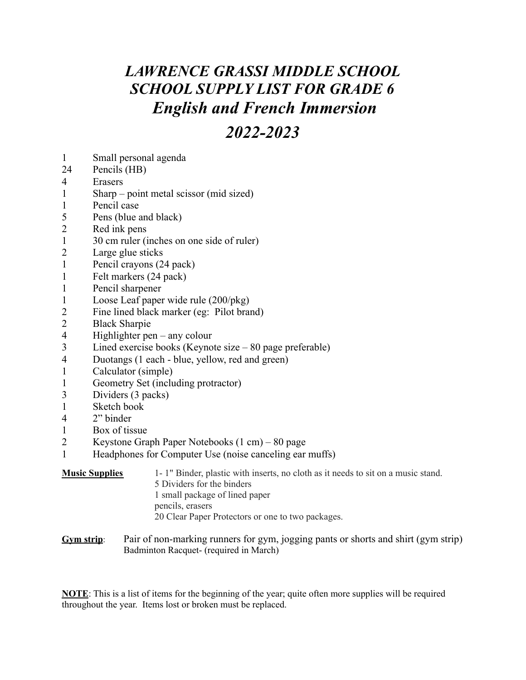# *LAWRENCE GRASSI MIDDLE SCHOOL SCHOOL SUPPLY LIST FOR GRADE 6 English and French Immersion*

### *2022-2023*

- Small personal agenda
- Pencils (HB)
- Erasers
- Sharp point metal scissor (mid sized)
- Pencil case
- Pens (blue and black)
- Red ink pens
- 30 cm ruler (inches on one side of ruler)
- Large glue sticks
- Pencil crayons (24 pack)
- Felt markers (24 pack)
- Pencil sharpener
- Loose Leaf paper wide rule (200/pkg)
- Fine lined black marker (eg: Pilot brand)
- Black Sharpie
- Highlighter pen any colour
- Lined exercise books (Keynote size 80 page preferable)
- Duotangs (1 each blue, yellow, red and green)
- Calculator (simple)
- Geometry Set (including protractor)
- Dividers (3 packs)
- Sketch book
- 2" binder
- Box of tissue
- Keystone Graph Paper Notebooks (1 cm) 80 page
- Headphones for Computer Use (noise canceling ear muffs)

### **Music Supplies** 1- 1" Binder, plastic with inserts, no cloth as it needs to sit on a music stand. Dividers for the binders small package of lined paper pencils, erasers Clear Paper Protectors or one to two packages.

**Gym strip**: Pair of non-marking runners for gym, jogging pants or shorts and shirt (gym strip) Badminton Racquet- (required in March)

**NOTE**: This is a list of items for the beginning of the year; quite often more supplies will be required throughout the year. Items lost or broken must be replaced.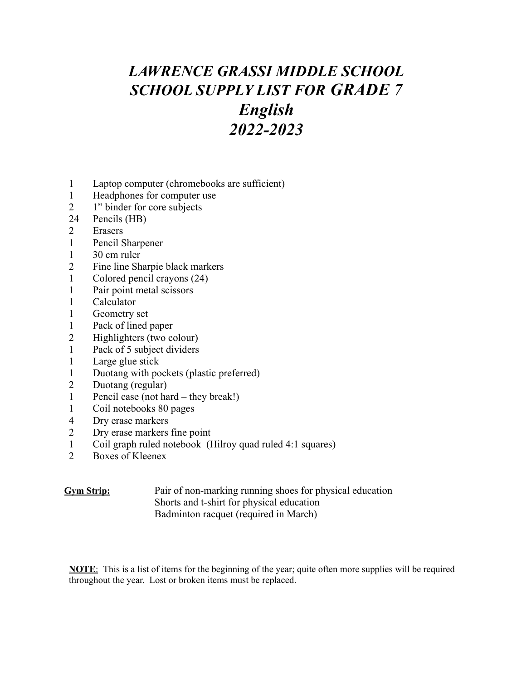# *LAWRENCE GRASSI MIDDLE SCHOOL SCHOOL SUPPLY LIST FOR GRADE 7 English 2022-2023*

- Laptop computer (chromebooks are sufficient)
- Headphones for computer use
- 1" binder for core subjects
- Pencils (HB)
- Erasers
- Pencil Sharpener
- 30 cm ruler
- Fine line Sharpie black markers
- Colored pencil crayons (24)
- Pair point metal scissors
- Calculator
- Geometry set
- Pack of lined paper
- Highlighters (two colour)
- Pack of 5 subject dividers
- Large glue stick
- Duotang with pockets (plastic preferred)
- Duotang (regular)
- Pencil case (not hard they break!)
- Coil notebooks 80 pages
- Dry erase markers
- Dry erase markers fine point
- 1 Coil graph ruled notebook (Hilroy quad ruled 4:1 squares)<br>2 Boxes of Kleenex
- Boxes of Kleenex

#### **Gym Strip:** Pair of non-marking running shoes for physical education Shorts and t-shirt for physical education Badminton racquet (required in March)

**NOTE**: This is a list of items for the beginning of the year; quite often more supplies will be required throughout the year. Lost or broken items must be replaced.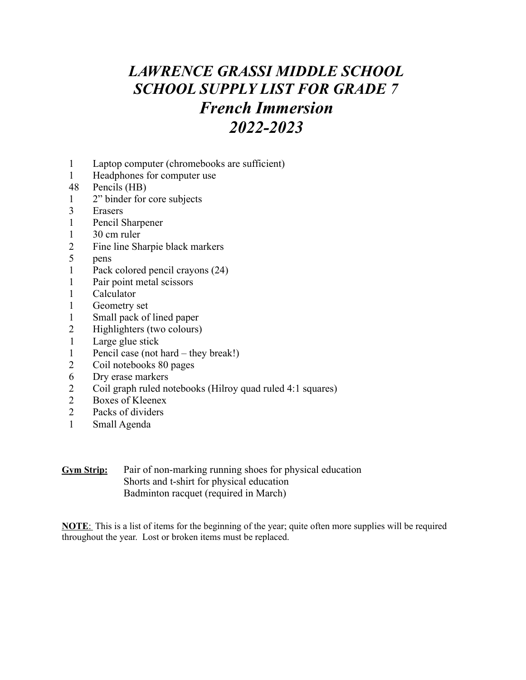## *LAWRENCE GRASSI MIDDLE SCHOOL SCHOOL SUPPLY LIST FOR GRADE 7 French Immersion 2022-2023*

- Laptop computer (chromebooks are sufficient)
- Headphones for computer use
- Pencils (HB)
- 2" binder for core subjects
- Erasers
- Pencil Sharpener
- 30 cm ruler
- Fine line Sharpie black markers
- pens
- Pack colored pencil crayons (24)
- Pair point metal scissors
- Calculator
- Geometry set
- Small pack of lined paper
- Highlighters (two colours)
- Large glue stick
- Pencil case (not hard they break!)
- Coil notebooks 80 pages
- Dry erase markers
- Coil graph ruled notebooks (Hilroy quad ruled 4:1 squares)
- 2 Boxes of Kleenex<br>2 Packs of dividers
- Packs of dividers
- Small Agenda

**Gym Strip:** Pair of non-marking running shoes for physical education Shorts and t-shirt for physical education Badminton racquet (required in March)

**NOTE**: This is a list of items for the beginning of the year; quite often more supplies will be required throughout the year. Lost or broken items must be replaced.